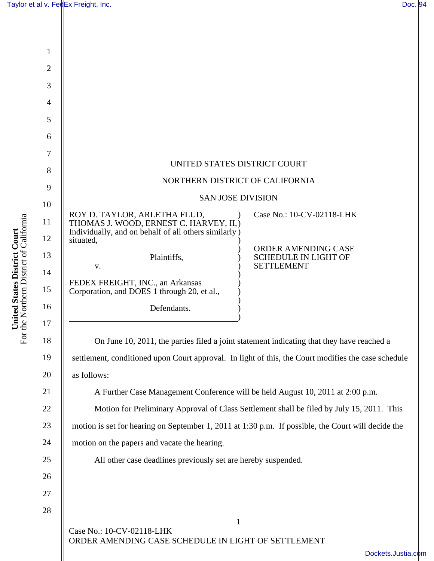| $\mathbf{1}$   |                                                                                                      |
|----------------|------------------------------------------------------------------------------------------------------|
| $\overline{2}$ |                                                                                                      |
| 3              |                                                                                                      |
| $\overline{4}$ |                                                                                                      |
| 5              |                                                                                                      |
| 6              |                                                                                                      |
| 7              |                                                                                                      |
| 8              | UNITED STATES DISTRICT COURT                                                                         |
| 9              | NORTHERN DISTRICT OF CALIFORNIA                                                                      |
| 10             | <b>SAN JOSE DIVISION</b>                                                                             |
| 11             | Case No.: 10-CV-02118-LHK<br>ROY D. TAYLOR, ARLETHA FLUD,<br>THOMAS J. WOOD, ERNEST C. HARVEY, II, ) |
| 12             | Individually, and on behalf of all others similarly)<br>situated,                                    |
| 13             | ORDER AMENDING CASE<br>Plaintiffs,<br><b>SCHEDULE IN LIGHT OF</b>                                    |
| 14             | <b>SETTLEMENT</b><br>V.                                                                              |
| 15             | FEDEX FREIGHT, INC., an Arkansas<br>Corporation, and DOES 1 through 20, et al.,                      |
| 16             | Defendants.                                                                                          |
| 17             |                                                                                                      |
| 18             | On June 10, 2011, the parties filed a joint statement indicating that they have reached a            |
| 19             | settlement, conditioned upon Court approval. In light of this, the Court modifies the case schedule  |
| 20             | as follows:                                                                                          |
| 21             | A Further Case Management Conference will be held August 10, 2011 at 2:00 p.m.                       |
| 22             | Motion for Preliminary Approval of Class Settlement shall be filed by July 15, 2011. This            |
| 23             | motion is set for hearing on September 1, 2011 at 1:30 p.m. If possible, the Court will decide the   |
| 24             | motion on the papers and vacate the hearing.                                                         |
| 25             | All other case deadlines previously set are hereby suspended.                                        |
| 26             |                                                                                                      |
| 27             |                                                                                                      |
| 28             |                                                                                                      |
|                | $\mathbf{1}$<br>Case No.: 10-CV-02118-LHK                                                            |
|                | ORDER AMENDING CASE SCHEDULE IN LIGHT OF SETTLEMENT<br>Dockets.Justia                                |
|                |                                                                                                      |

**United States District Court**<br>For the Northern District of California For the Northern District of California **United States District Court**